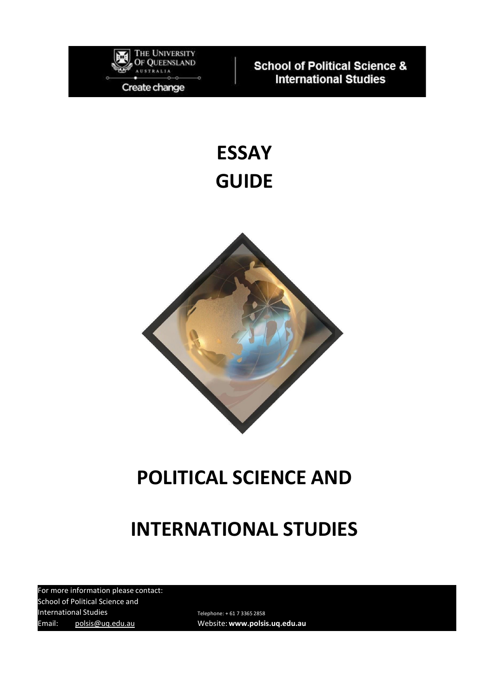

**School of Political Science & International Studies** 

# **ESSAY GUIDE**



# **POLITICAL SCIENCE AND**

# **INTERNATIONAL STUDIES**

For more information please contact: School of Political Science and International Studies Telephone: +61 7 3365 2858 Email: [polsis@uq.edu.au](mailto:polsis@uq.edu.au) Website: **[www.polsis.uq.edu.au](http://www.polsis.uq.edu.au/)**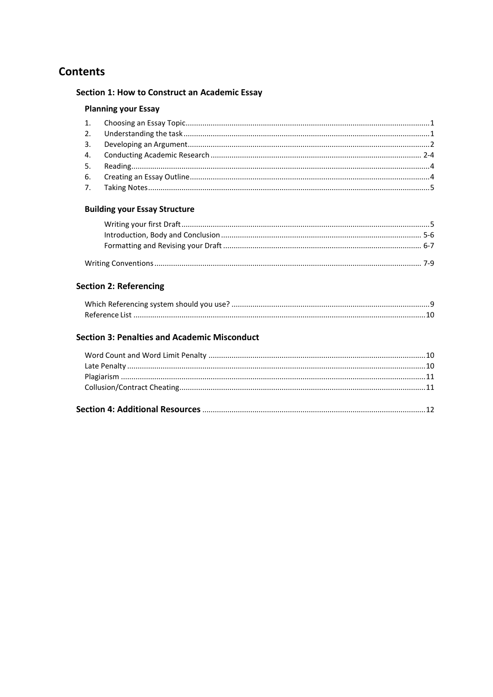## **Contents**

## **Section 1: How to Construct an Academic Essay**

## **Planning your Essay**

## **Building your Essay Structure**

### **Section 2: Referencing**

### **Section 3: Penalties and Academic Misconduct**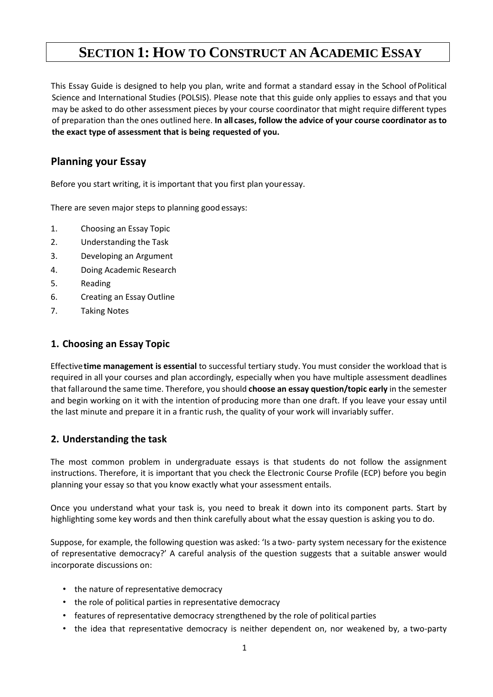# **SECTION 1: HOW TO CONSTRUCT AN ACADEMIC ESSAY**

This Essay Guide is designed to help you plan, write and format a standard essay in the School ofPolitical Science and International Studies (POLSIS). Please note that this guide only applies to essays and that you may be asked to do other assessment pieces by your course coordinator that might require different types of preparation than the ones outlined here. **In all cases, follow the advice of your course coordinator as to the exact type of assessment that is being requested of you.**

## **Planning your Essay**

Before you start writing, it is important that you first plan youressay.

There are seven major steps to planning good essays:

- 1. Choosing an Essay Topic
- 2. Understanding the Task
- 3. Developing an Argument
- 4. Doing Academic Research
- 5. Reading
- 6. Creating an Essay Outline
- 7. Taking Notes

#### <span id="page-2-0"></span>**1. Choosing an Essay Topic**

Effective**time management is essential** to successful tertiary study. You must consider the workload that is required in all your courses and plan accordingly, especially when you have multiple assessment deadlines that fallaround the same time. Therefore, you should **choose an essay question/topic early** in the semester and begin working on it with the intention of producing more than one draft. If you leave your essay until the last minute and prepare it in a frantic rush, the quality of your work will invariably suffer.

### <span id="page-2-1"></span>**2. Understanding the task**

The most common problem in undergraduate essays is that students do not follow the assignment instructions. Therefore, it is important that you check the Electronic Course Profile (ECP) before you begin planning your essay so that you know exactly what your assessment entails.

Once you understand what your task is, you need to break it down into its component parts. Start by highlighting some key words and then think carefully about what the essay question is asking you to do.

Suppose, for example, the following question was asked: 'Is a two- party system necessary for the existence of representative democracy?' A careful analysis of the question suggests that a suitable answer would incorporate discussions on:

- the nature of representative democracy
- the role of political parties in representative democracy
- features of representative democracy strengthened by the role of political parties
- the idea that representative democracy is neither dependent on, nor weakened by, a two-party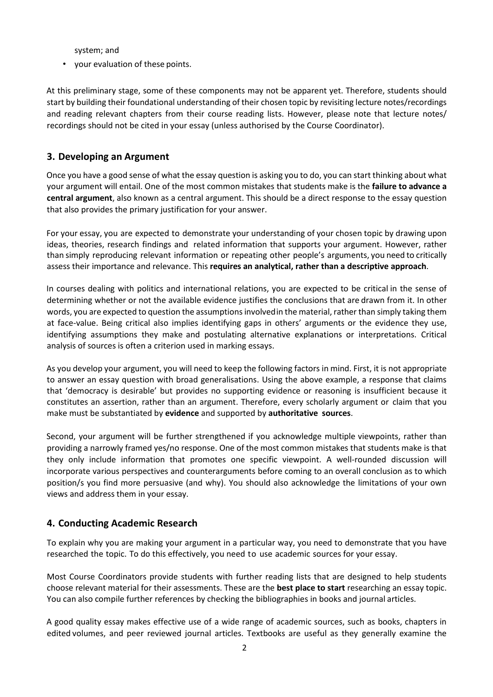system; and

• your evaluation of these points.

At this preliminary stage, some of these components may not be apparent yet. Therefore, students should start by building their foundational understanding of their chosen topic by revisiting lecture notes/recordings and reading relevant chapters from their course reading lists. However, please note that lecture notes/ recordings should not be cited in your essay (unless authorised by the Course Coordinator).

#### <span id="page-3-0"></span>**3. Developing an Argument**

Once you have a good sense of what the essay question is asking you to do, you can start thinking about what your argument will entail. One of the most common mistakes that students make is the **failure to advance a central argument**, also known as a central argument. This should be a direct response to the essay question that also provides the primary justification for your answer.

For your essay, you are expected to demonstrate your understanding of your chosen topic by drawing upon ideas, theories, research findings and related information that supports your argument. However, rather than simply reproducing relevant information or repeating other people's arguments, you need to critically assess their importance and relevance. This **requires an analytical, rather than a descriptive approach**.

In courses dealing with politics and international relations, you are expected to be critical in the sense of determining whether or not the available evidence justifies the conclusions that are drawn from it. In other words, you are expected to question the assumptions involvedin the material, rather than simply taking them at face-value. Being critical also implies identifying gaps in others' arguments or the evidence they use, identifying assumptions they make and postulating alternative explanations or interpretations. Critical analysis of sources is often a criterion used in marking essays.

As you develop your argument, you will need to keep the following factors in mind. First, it is not appropriate to answer an essay question with broad generalisations. Using the above example, a response that claims that 'democracy is desirable' but provides no supporting evidence or reasoning is insufficient because it constitutes an assertion, rather than an argument. Therefore, every scholarly argument or claim that you make must be substantiated by **evidence** and supported by **authoritative sources**.

Second, your argument will be further strengthened if you acknowledge multiple viewpoints, rather than providing a narrowly framed yes/no response. One of the most common mistakes that students make is that they only include information that promotes one specific viewpoint. A well-rounded discussion will incorporate various perspectives and counterarguments before coming to an overall conclusion as to which position/s you find more persuasive (and why). You should also acknowledge the limitations of your own views and address them in your essay.

### <span id="page-3-1"></span>**4. Conducting Academic Research**

To explain why you are making your argument in a particular way, you need to demonstrate that you have researched the topic. To do this effectively, you need to use academic sources for your essay.

Most Course Coordinators provide students with further reading lists that are designed to help students choose relevant material for their assessments. These are the **best place to start** researching an essay topic. You can also compile further references by checking the bibliographies in books and journal articles.

A good quality essay makes effective use of a wide range of academic sources, such as books, chapters in edited volumes, and peer reviewed journal articles. Textbooks are useful as they generally examine the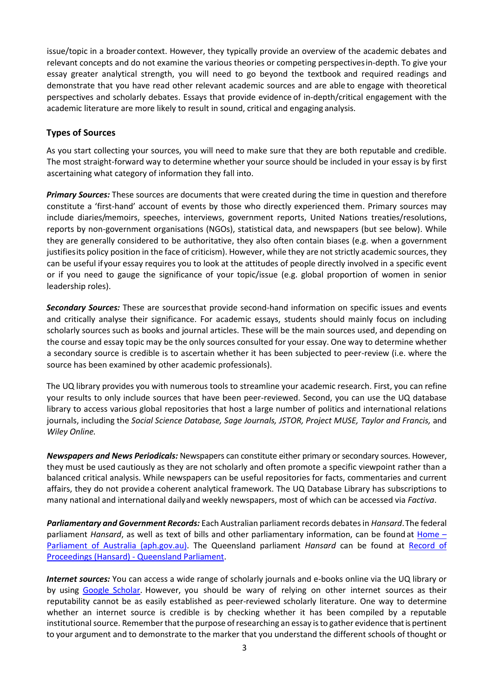issue/topic in a broader context. However, they typically provide an overview of the academic debates and relevant concepts and do not examine the various theories or competing perspectivesin-depth. To give your essay greater analytical strength, you will need to go beyond the textbook and required readings and demonstrate that you have read other relevant academic sources and are able to engage with theoretical perspectives and scholarly debates. Essays that provide evidence of in-depth/critical engagement with the academic literature are more likely to result in sound, critical and engaging analysis.

#### **Types of Sources**

As you start collecting your sources, you will need to make sure that they are both reputable and credible. The most straight-forward way to determine whether your source should be included in your essay is by first ascertaining what category of information they fall into.

*Primary Sources:* These sources are documents that were created during the time in question and therefore constitute a 'first-hand' account of events by those who directly experienced them. Primary sources may include diaries/memoirs, speeches, interviews, government reports, United Nations treaties/resolutions, reports by non-government organisations (NGOs), statistical data, and newspapers (but see below). While they are generally considered to be authoritative, they also often contain biases (e.g. when a government justifiesits policy position in the face of criticism). However, while they are not strictly academic sources, they can be useful if your essay requires you to look at the attitudes of people directly involved in a specific event or if you need to gauge the significance of your topic/issue (e.g. global proportion of women in senior leadership roles).

**Secondary Sources:** These are sourcesthat provide second-hand information on specific issues and events and critically analyse their significance. For academic essays, students should mainly focus on including scholarly sources such as books and journal articles. These will be the main sources used, and depending on the course and essay topic may be the only sources consulted for your essay. One way to determine whether a secondary source is credible is to ascertain whether it has been subjected to peer-review (i.e. where the source has been examined by other academic professionals).

The UQ library provides you with numerous tools to streamline your academic research. First, you can refine your results to only include sources that have been peer-reviewed. Second, you can use the UQ database library to access various global repositories that host a large number of politics and international relations journals, including the *Social Science Database, Sage Journals, JSTOR, Project MUSE, Taylor and Francis,* and *Wiley Online.*

*Newspapers and News Periodicals:* Newspapers can constitute either primary or secondary sources. However, they must be used cautiously as they are not scholarly and often promote a specific viewpoint rather than a balanced critical analysis. While newspapers can be useful repositories for facts, commentaries and current affairs, they do not provide a coherent analytical framework. The UQ Database Library has subscriptions to many national and international dailyand weekly newspapers, most of which can be accessed via *Factiva*.

*Parliamentary and Government Records:* Each Australian parliament records debates in *Hansard*.The federal parliament *Hansard*, as well as text of bills and other parliamentary information, can be found at [Home](https://www.aph.gov.au/) – [Parliament of Australia \(aph.gov.au\).](https://www.aph.gov.au/) The Queensland parliament *Hansard* can be found at [Record of](https://www.parliament.qld.gov.au/work-of-assembly/hansard)  Proceedings (Hansard) - [Queensland Parliament.](https://www.parliament.qld.gov.au/work-of-assembly/hansard)

*Internet sources:* You can access a wide range of scholarly journals and e-books online via the UQ library or by using [Google Scholar.](https://scholar.google.com/) However, you should be wary of relying on other internet sources as their reputability cannot be as easily established as peer-reviewed scholarly literature. One way to determine whether an internet source is credible is by checking whether it has been compiled by a reputable institutional source. Remember that the purpose of researching an essay is to gather evidence that is pertinent to your argument and to demonstrate to the marker that you understand the different schools of thought or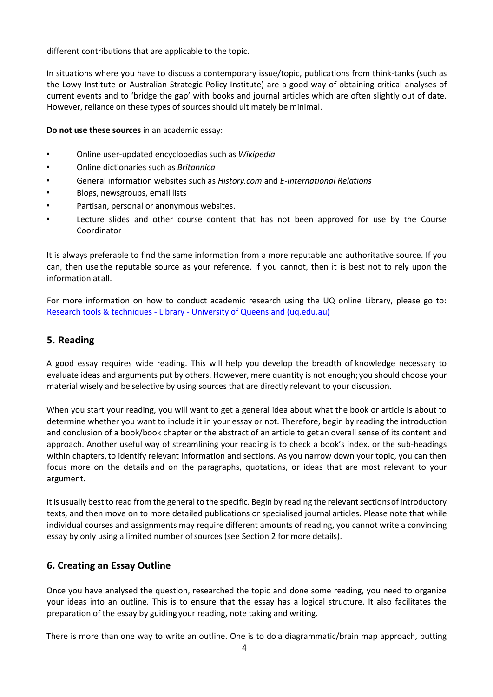different contributions that are applicable to the topic.

In situations where you have to discuss a contemporary issue/topic, publications from think-tanks (such as the Lowy Institute or Australian Strategic Policy Institute) are a good way of obtaining critical analyses of current events and to 'bridge the gap' with books and journal articles which are often slightly out of date. However, reliance on these types of sources should ultimately be minimal.

**Do not use these sources** in an academic essay:

- Online user-updated encyclopedias such as *Wikipedia*
- Online dictionaries such as *Britannica*
- General information websites such as *History.com* and *E-International Relations*
- Blogs, newsgroups, email lists
- Partisan, personal or anonymous websites.
- Lecture slides and other course content that has not been approved for use by the Course Coordinator

It is always preferable to find the same information from a more reputable and authoritative source. If you can, then use the reputable source as your reference. If you cannot, then it is best not to rely upon the information atall.

For more information on how to conduct academic research using the UQ online Library, please go to: Research tools & techniques - Library - [University of Queensland \(uq.edu.au\)](https://web.library.uq.edu.au/research-tools-techniques)

#### <span id="page-5-0"></span>**5. Reading**

A good essay requires wide reading. This will help you develop the breadth of knowledge necessary to evaluate ideas and arguments put by others. However, mere quantity is not enough; you should choose your material wisely and be selective by using sources that are directly relevant to your discussion.

When you start your reading, you will want to get a general idea about what the book or article is about to determine whether you want to include it in your essay or not. Therefore, begin by reading the introduction and conclusion of a book/book chapter or the abstract of an article to getan overall sense of its content and approach. Another useful way of streamlining your reading is to check a book's index, or the sub-headings within chapters, to identify relevant information and sections. As you narrow down your topic, you can then focus more on the details and on the paragraphs, quotations, or ideas that are most relevant to your argument.

It is usually best to read from the general to the specific. Begin by reading the relevant sectionsof introductory texts, and then move on to more detailed publications or specialised journal articles. Please note that while individual courses and assignments may require different amounts of reading, you cannot write a convincing essay by only using a limited number ofsources (see Section 2 for more details).

### **6. Creating an Essay Outline**

Once you have analysed the question, researched the topic and done some reading, you need to organize your ideas into an outline. This is to ensure that the essay has a logical structure. It also facilitates the preparation of the essay by guiding your reading, note taking and writing.

There is more than one way to write an outline. One is to do a diagrammatic/brain map approach, putting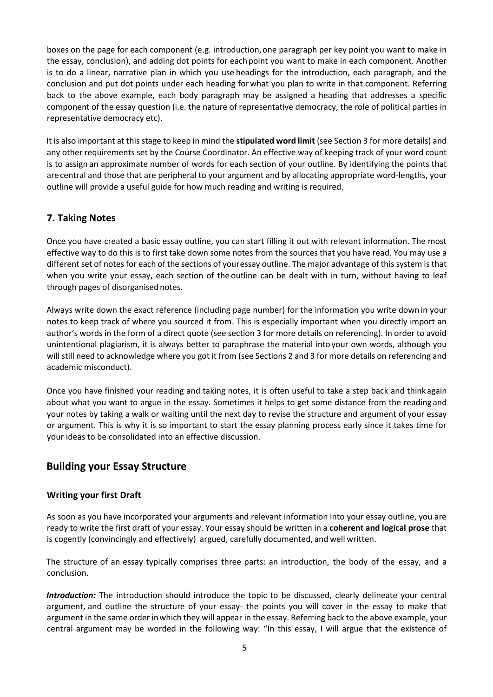boxes on the page for each component (e.g. introduction,one paragraph per key point you want to make in the essay, conclusion), and adding dot points for eachpoint you want to make in each component. Another is to do a linear, narrative plan in which you use headings for the introduction, each paragraph, and the conclusion and put dot points under each heading forwhat you plan to write in that component. Referring back to the above example, each body paragraph may be assigned a heading that addresses a specific component of the essay question (i.e. the nature of representative democracy, the role of political parties in representative democracy etc).

It is also important at this stage to keep in mind the **stipulated word limit** (see Section 3 for more details) and any other requirements set by the Course Coordinator. An effective way of keeping track of your word count is to assign an approximate number of words for each section of your outline. By identifying the points that arecentral and those that are peripheral to your argument and by allocating appropriate word-lengths, your outline will provide a useful guide for how much reading and writing is required.

## **7. Taking Notes**

Once you have created a basic essay outline, you can start filling it out with relevant information. The most effective way to do this is to first take down some notes from the sources that you have read. You may use a different set of notes for each of the sections of youressay outline. The major advantage of this system is that when you write your essay, each section of the outline can be dealt with in turn, without having to leaf through pages of disorganised notes.

Always write down the exact reference (including page number) for the information you write down in your notes to keep track of where you sourced it from. This is especially important when you directly import an author's words in the form of a direct quote (see section 3 for more details on referencing). In order to avoid unintentional plagiarism, it is always better to paraphrase the material into your own words, although you will still need to acknowledge where you got it from (see Sections 2 and 3 for more details on referencing and academic misconduct).

Once you have finished your reading and taking notes, it is often useful to take a step back and thinkagain about what you want to argue in the essay. Sometimes it helps to get some distance from the reading and your notes by taking a walk or waiting until the next day to revise the structure and argument of your essay or argument. This is why it is so important to start the essay planning process early since it takes time for your ideas to be consolidated into an effective discussion.

## **Building your Essay Structure**

### **Writing your first Draft**

As soon as you have incorporated your arguments and relevant information into your essay outline, you are ready to write the first draft of your essay. Your essay should be written in a **coherent and logical prose** that is cogently (convincingly and effectively) argued, carefully documented, and well written.

The structure of an essay typically comprises three parts: an introduction, the body of the essay, and a conclusion.

*Introduction:* The introduction should introduce the topic to be discussed, clearly delineate your central argument, and outline the structure of your essay- the points you will cover in the essay to make that argument in the same order inwhich they will appear in the essay. Referring back to the above example, your central argument may be worded in the following way: "In this essay, I will argue that the existence of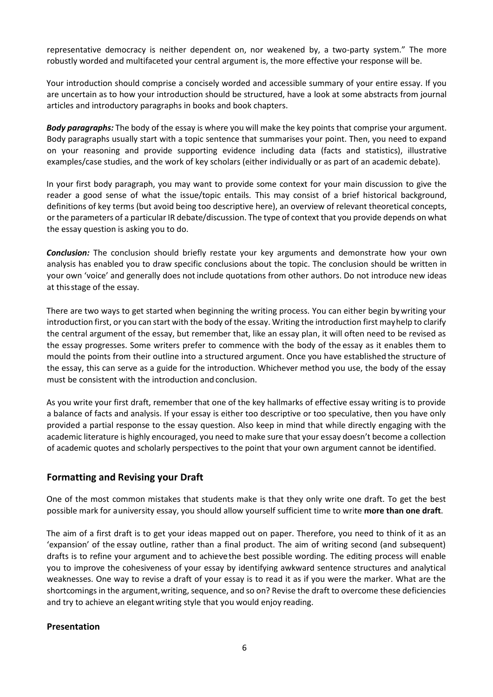representative democracy is neither dependent on, nor weakened by, a two-party system." The more robustly worded and multifaceted your central argument is, the more effective your response will be.

Your introduction should comprise a concisely worded and accessible summary of your entire essay. If you are uncertain as to how your introduction should be structured, have a look at some abstracts from journal articles and introductory paragraphs in books and book chapters.

*Body paragraphs:* The body of the essay is where you will make the key points that comprise your argument. Body paragraphs usually start with a topic sentence that summarises your point. Then, you need to expand on your reasoning and provide supporting evidence including data (facts and statistics), illustrative examples/case studies, and the work of key scholars (either individually or as part of an academic debate).

In your first body paragraph, you may want to provide some context for your main discussion to give the reader a good sense of what the issue/topic entails. This may consist of a brief historical background, definitions of key terms (but avoid being too descriptive here), an overview of relevant theoretical concepts, or the parameters of a particular IR debate/discussion. The type of context that you provide depends on what the essay question is asking you to do.

*Conclusion:* The conclusion should briefly restate your key arguments and demonstrate how your own analysis has enabled you to draw specific conclusions about the topic. The conclusion should be written in your own 'voice' and generally does not include quotations from other authors. Do not introduce new ideas at thisstage of the essay.

There are two ways to get started when beginning the writing process. You can either begin bywriting your introduction first, or you can start with the body of the essay. Writing the introduction first mayhelp to clarify the central argument of the essay, but remember that, like an essay plan, it will often need to be revised as the essay progresses. Some writers prefer to commence with the body of the essay as it enables them to mould the points from their outline into a structured argument. Once you have established the structure of the essay, this can serve as a guide for the introduction. Whichever method you use, the body of the essay must be consistent with the introduction and conclusion.

As you write your first draft, remember that one of the key hallmarks of effective essay writing is to provide a balance of facts and analysis. If your essay is either too descriptive or too speculative, then you have only provided a partial response to the essay question. Also keep in mind that while directly engaging with the academic literature is highly encouraged, you need to make sure that your essay doesn't become a collection of academic quotes and scholarly perspectives to the point that your own argument cannot be identified.

### **Formatting and Revising your Draft**

One of the most common mistakes that students make is that they only write one draft. To get the best possible mark for auniversity essay, you should allow yourself sufficient time to write **more than one draft**.

The aim of a first draft is to get your ideas mapped out on paper. Therefore, you need to think of it as an 'expansion' of the essay outline, rather than a final product. The aim of writing second (and subsequent) drafts is to refine your argument and to achievethe best possible wording. The editing process will enable you to improve the cohesiveness of your essay by identifying awkward sentence structures and analytical weaknesses. One way to revise a draft of your essay is to read it as if you were the marker. What are the shortcomings in the argument,writing, sequence, and so on? Revise the draft to overcome these deficiencies and try to achieve an elegant writing style that you would enjoy reading.

#### **Presentation**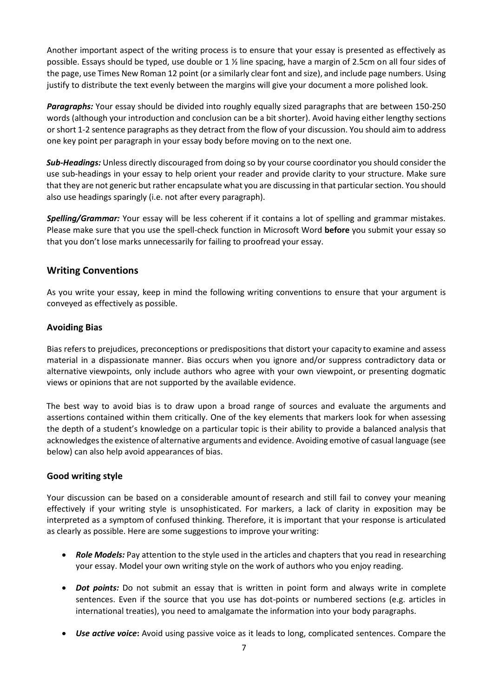Another important aspect of the writing process is to ensure that your essay is presented as effectively as possible. Essays should be typed, use double or 1 ½ line spacing, have a margin of 2.5cm on all four sides of the page, use Times New Roman 12 point (or a similarly clear font and size), and include page numbers. Using justify to distribute the text evenly between the margins will give your document a more polished look.

*Paragraphs:* Your essay should be divided into roughly equally sized paragraphs that are between 150-250 words (although your introduction and conclusion can be a bit shorter). Avoid having either lengthy sections or short 1-2 sentence paragraphs as they detract from the flow of your discussion. You should aim to address one key point per paragraph in your essay body before moving on to the next one.

*Sub-Headings:* Unless directly discouraged from doing so by your course coordinator you should consider the use sub-headings in your essay to help orient your reader and provide clarity to your structure. Make sure that they are not generic but rather encapsulate what you are discussing in that particular section. You should also use headings sparingly (i.e. not after every paragraph).

*Spelling/Grammar:* Your essay will be less coherent if it contains a lot of spelling and grammar mistakes. Please make sure that you use the spell-check function in Microsoft Word **before** you submit your essay so that you don't lose marks unnecessarily for failing to proofread your essay.

### <span id="page-8-0"></span>**Writing Conventions**

As you write your essay, keep in mind the following writing conventions to ensure that your argument is conveyed as effectively as possible.

### **Avoiding Bias**

Bias refers to prejudices, preconceptions or predispositions that distort your capacity to examine and assess material in a dispassionate manner. Bias occurs when you ignore and/or suppress contradictory data or alternative viewpoints, only include authors who agree with your own viewpoint, or presenting dogmatic views or opinions that are not supported by the available evidence.

The best way to avoid bias is to draw upon a broad range of sources and evaluate the arguments and assertions contained within them critically. One of the key elements that markers look for when assessing the depth of a student's knowledge on a particular topic is their ability to provide a balanced analysis that acknowledges the existence of alternative arguments and evidence. Avoiding emotive of casual language (see below) can also help avoid appearances of bias.

#### **Good writing style**

Your discussion can be based on a considerable amountof research and still fail to convey your meaning effectively if your writing style is unsophisticated. For markers, a lack of clarity in exposition may be interpreted as a symptom of confused thinking. Therefore, it is important that your response is articulated as clearly as possible. Here are some suggestions to improve your writing:

- **Role Models:** Pay attention to the style used in the articles and chapters that you read in researching your essay. Model your own writing style on the work of authors who you enjoy reading.
- *Dot points:* Do not submit an essay that is written in point form and always write in complete sentences. Even if the source that you use has dot-points or numbered sections (e.g. articles in international treaties), you need to amalgamate the information into your body paragraphs.
- *Use active voice***:** Avoid using passive voice as it leads to long, complicated sentences. Compare the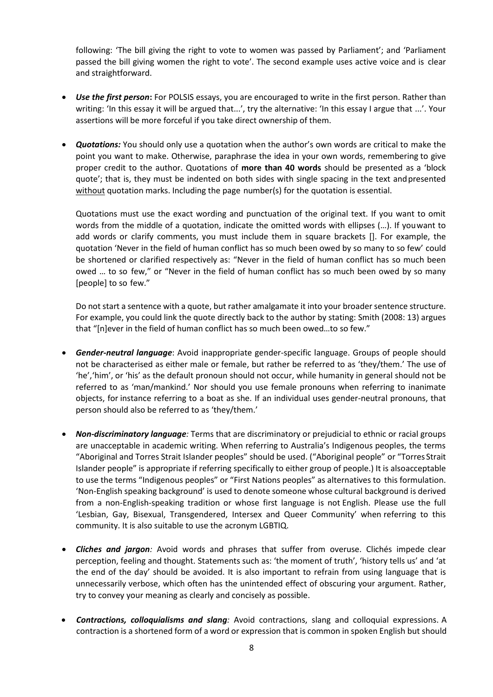following: 'The bill giving the right to vote to women was passed by Parliament'; and 'Parliament passed the bill giving women the right to vote'. The second example uses active voice and is clear and straightforward.

- *Use the first person***:** For POLSIS essays, you are encouraged to write in the first person. Rather than writing: 'In this essay it will be argued that...', try the alternative: 'In this essay I argue that ...'. Your assertions will be more forceful if you take direct ownership of them.
- *Quotations:* You should only use a quotation when the author's own words are critical to make the point you want to make. Otherwise, paraphrase the idea in your own words, remembering to give proper credit to the author. Quotations of **more than 40 words** should be presented as a 'block quote'; that is, they must be indented on both sides with single spacing in the text andpresented without quotation marks. Including the page number(s) for the quotation is essential.

Quotations must use the exact wording and punctuation of the original text. If you want to omit words from the middle of a quotation, indicate the omitted words with ellipses (…). If youwant to add words or clarify comments, you must include them in square brackets []. For example, the quotation 'Never in the field of human conflict has so much been owed by so many to so few' could be shortened or clarified respectively as: "Never in the field of human conflict has so much been owed … to so few," or "Never in the field of human conflict has so much been owed by so many [people] to so few."

Do not start a sentence with a quote, but rather amalgamate it into your broader sentence structure. For example, you could link the quote directly back to the author by stating: Smith (2008: 13) argues that "[n]ever in the field of human conflict has so much been owed…to so few."

- *Gender-neutral language*: Avoid inappropriate gender-specific language. Groups of people should not be characterised as either male or female, but rather be referred to as 'they/them.' The use of 'he','him', or 'his' as the default pronoun should not occur, while humanity in general should not be referred to as 'man/mankind.' Nor should you use female pronouns when referring to inanimate objects, for instance referring to a boat as she. If an individual uses gender-neutral pronouns, that person should also be referred to as 'they/them.'
- *Non-discriminatory language:* Terms that are discriminatory or prejudicial to ethnic or racial groups are unacceptable in academic writing. When referring to Australia's Indigenous peoples, the terms "Aboriginal and Torres Strait Islander peoples" should be used. ("Aboriginal people" or "Torres Strait Islander people" is appropriate if referring specifically to either group of people.) It is alsoacceptable to use the terms "Indigenous peoples" or "First Nations peoples" as alternatives to this formulation. 'Non-English speaking background' is used to denote someone whose cultural background is derived from a non-English-speaking tradition or whose first language is not English. Please use the full 'Lesbian, Gay, Bisexual, Transgendered, Intersex and Queer Community' when referring to this community. It is also suitable to use the acronym LGBTIQ.
- *Cliches and jargon:* Avoid words and phrases that suffer from overuse. Clichés impede clear perception, feeling and thought. Statements such as: 'the moment of truth', 'history tells us' and 'at the end of the day' should be avoided. It is also important to refrain from using language that is unnecessarily verbose, which often has the unintended effect of obscuring your argument. Rather, try to convey your meaning as clearly and concisely as possible.
- *Contractions, colloquialisms and slang:* Avoid contractions, slang and colloquial expressions. A contraction is a shortened form of a word or expression that is common in spoken English but should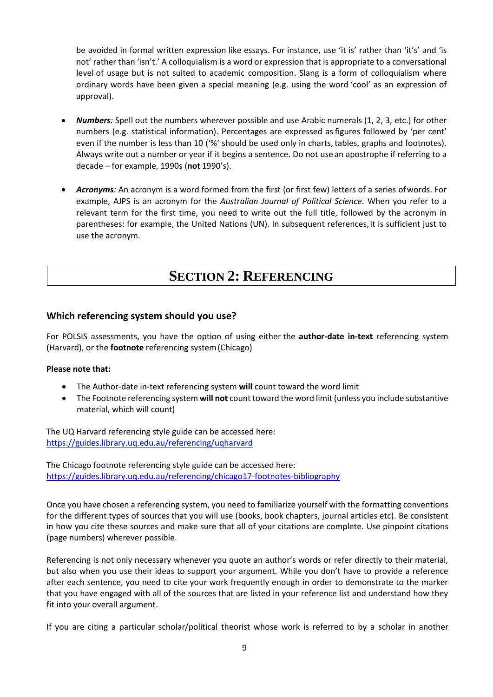be avoided in formal written expression like essays. For instance, use 'it is' rather than 'it's' and 'is not' rather than 'isn't.' A colloquialism is a word or expression that is appropriate to a conversational level of usage but is not suited to academic composition. Slang is a form of colloquialism where ordinary words have been given a special meaning (e.g. using the word 'cool' as an expression of approval).

- *Numbers:* Spell out the numbers wherever possible and use Arabic numerals (1, 2, 3, etc.) for other numbers (e.g. statistical information). Percentages are expressed asfigures followed by 'per cent' even if the number is less than 10 ('%' should be used only in charts, tables, graphs and footnotes). Always write out a number or year if it begins a sentence. Do not use an apostrophe if referring to a decade – for example, 1990s (**not** 1990's).
- *Acronyms:* An acronym is a word formed from the first (or first few) letters of a series ofwords. For example, AJPS is an acronym for the *Australian Journal of Political Science*. When you refer to a relevant term for the first time, you need to write out the full title, followed by the acronym in parentheses: for example, the United Nations (UN). In subsequent references,it is sufficient just to use the acronym.

## **SECTION 2: REFERENCING**

### <span id="page-10-0"></span>**Which referencing system should you use?**

For POLSIS assessments, you have the option of using either the **author-date in-text** referencing system (Harvard), or the **footnote** referencing system(Chicago)

#### **Please note that:**

- The Author-date in-text referencing system **will** count toward the word limit
- The Footnote referencing system **will not** count toward the word limit (unless you include substantive material, which will count)

The UQ Harvard referencing style guide can be accessed here: <https://guides.library.uq.edu.au/referencing/uqharvard>

The Chicago footnote referencing style guide can be accessed here: <https://guides.library.uq.edu.au/referencing/chicago17-footnotes-bibliography>

Once you have chosen a referencing system, you need to familiarize yourself with the formatting conventions for the different types of sources that you will use (books, book chapters, journal articles etc). Be consistent in how you cite these sources and make sure that all of your citations are complete. Use pinpoint citations (page numbers) wherever possible.

Referencing is not only necessary whenever you quote an author's words or refer directly to their material, but also when you use their ideas to support your argument. While you don't have to provide a reference after each sentence, you need to cite your work frequently enough in order to demonstrate to the marker that you have engaged with all of the sources that are listed in your reference list and understand how they fit into your overall argument.

If you are citing a particular scholar/political theorist whose work is referred to by a scholar in another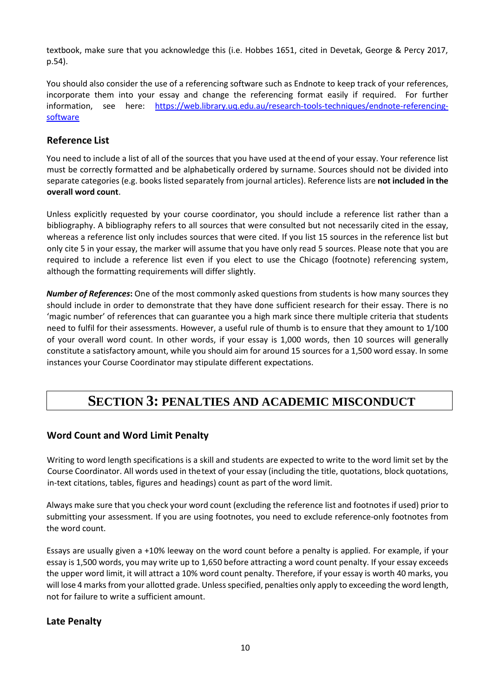textbook, make sure that you acknowledge this (i.e. Hobbes 1651, cited in Devetak, George & Percy 2017, p.54).

You should also consider the use of a referencing software such as Endnote to keep track of your references, incorporate them into your essay and change the referencing format easily if required. For further information, see here: [https://web.library.uq.edu.au/research-tools-techniques/endnote-referencing](https://web.library.uq.edu.au/research-tools-techniques/endnote-referencing-software)[software](https://web.library.uq.edu.au/research-tools-techniques/endnote-referencing-software)

## <span id="page-11-0"></span>**Reference List**

You need to include a list of all of the sources that you have used at theend of your essay. Your reference list must be correctly formatted and be alphabetically ordered by surname. Sources should not be divided into separate categories (e.g. books listed separately from journal articles). Reference lists are **not included in the overall word count**.

Unless explicitly requested by your course coordinator, you should include a reference list rather than a bibliography. A bibliography refers to all sources that were consulted but not necessarily cited in the essay, whereas a reference list only includes sources that were cited. If you list 15 sources in the reference list but only cite 5 in your essay, the marker will assume that you have only read 5 sources. Please note that you are required to include a reference list even if you elect to use the Chicago (footnote) referencing system, although the formatting requirements will differ slightly.

*Number of References***:** One of the most commonly asked questions from students is how many sources they should include in order to demonstrate that they have done sufficient research for their essay. There is no 'magic number' of references that can guarantee you a high mark since there multiple criteria that students need to fulfil for their assessments. However, a useful rule of thumb is to ensure that they amount to 1/100 of your overall word count. In other words, if your essay is 1,000 words, then 10 sources will generally constitute a satisfactory amount, while you should aim for around 15 sources for a 1,500 word essay. In some instances your Course Coordinator may stipulate different expectations.

## **SECTION 3: PENALTIES AND ACADEMIC MISCONDUCT**

### **Word Count and Word Limit Penalty**

Writing to word length specifications is a skill and students are expected to write to the word limit set by the Course Coordinator. All words used in thetext of your essay (including the title, quotations, block quotations, in-text citations, tables, figures and headings) count as part of the word limit.

Always make sure that you check your word count (excluding the reference list and footnotes if used) prior to submitting your assessment. If you are using footnotes, you need to exclude reference-only footnotes from the word count.

Essays are usually given a +10% leeway on the word count before a penalty is applied. For example, if your essay is 1,500 words, you may write up to 1,650 before attracting a word count penalty. If your essay exceeds the upper word limit, it will attract a 10% word count penalty. Therefore, if your essay is worth 40 marks, you will lose 4 marks from your allotted grade. Unless specified, penalties only apply to exceeding the word length, not for failure to write a sufficient amount.

### **Late Penalty**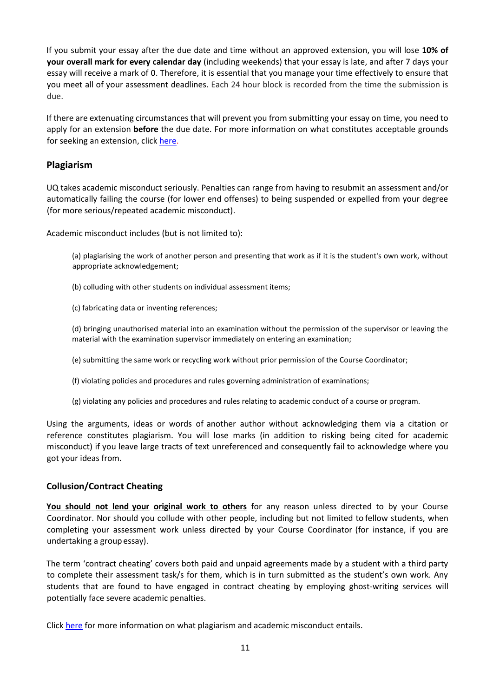If you submit your essay after the due date and time without an approved extension, you will lose **10% of your overall mark for every calendar day** (including weekends) that your essay is late, and after 7 days your essay will receive a mark of 0. Therefore, it is essential that you manage your time effectively to ensure that you meet all of your assessment deadlines. Each 24 hour block is recorded from the time the submission is due.

If there are extenuating circumstances that will prevent you from submitting your essay on time, you need to apply for an extension **before** the due date. For more information on what constitutes acceptable grounds for seeking an extension, clic[k here.](https://my.uq.edu.au/information-and-services/manage-my-program/exams-and-assessment/applying-extension)

#### **Plagiarism**

UQ takes academic misconduct seriously. Penalties can range from having to resubmit an assessment and/or automatically failing the course (for lower end offenses) to being suspended or expelled from your degree (for more serious/repeated academic misconduct).

Academic misconduct includes (but is not limited to):

(a) plagiarising the work of another person and presenting that work as if it is the student's own work, without appropriate acknowledgement;

(b) colluding with other students on individual assessment items;

(c) fabricating data or inventing references;

(d) bringing unauthorised material into an examination without the permission of the supervisor or leaving the material with the examination supervisor immediately on entering an examination;

(e) submitting the same work or recycling work without prior permission of the Course Coordinator;

(f) violating policies and procedures and rules governing administration of examinations;

(g) violating any policies and procedures and rules relating to academic conduct of a course or program.

Using the arguments, ideas or words of another author without acknowledging them via a citation or reference constitutes plagiarism. You will lose marks (in addition to risking being cited for academic misconduct) if you leave large tracts of text unreferenced and consequently fail to acknowledge where you got your ideas from.

#### **Collusion/Contract Cheating**

**You should not lend your original work to others** for any reason unless directed to by your Course Coordinator. Nor should you collude with other people, including but not limited to fellow students, when completing your assessment work unless directed by your Course Coordinator (for instance, if you are undertaking a groupessay).

The term 'contract cheating' covers both paid and unpaid agreements made by a student with a third party to complete their assessment task/s for them, which is in turn submitted as the student's own work. Any students that are found to have engaged in contract cheating by employing ghost-writing services will potentially face severe academic penalties.

Click [here](https://my.uq.edu.au/information-and-services/manage-my-program/student-integrity-and-conduct/academic-integrity-and-student-conduct) for more information on what plagiarism and academic misconduct entails.